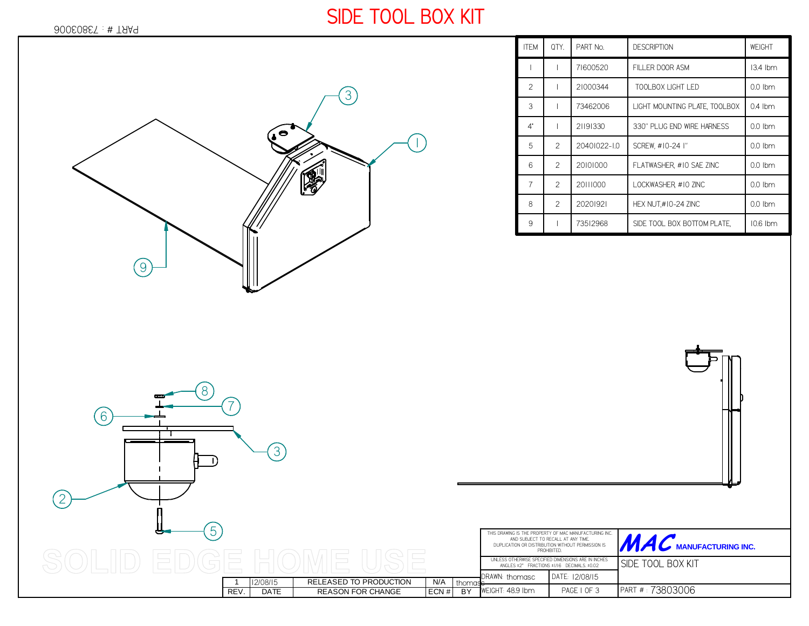## 73803006 PART # :

## **SIDE TOOL BOX KIT**

13.4 lbm

0.0 lbm

0.0 lbm

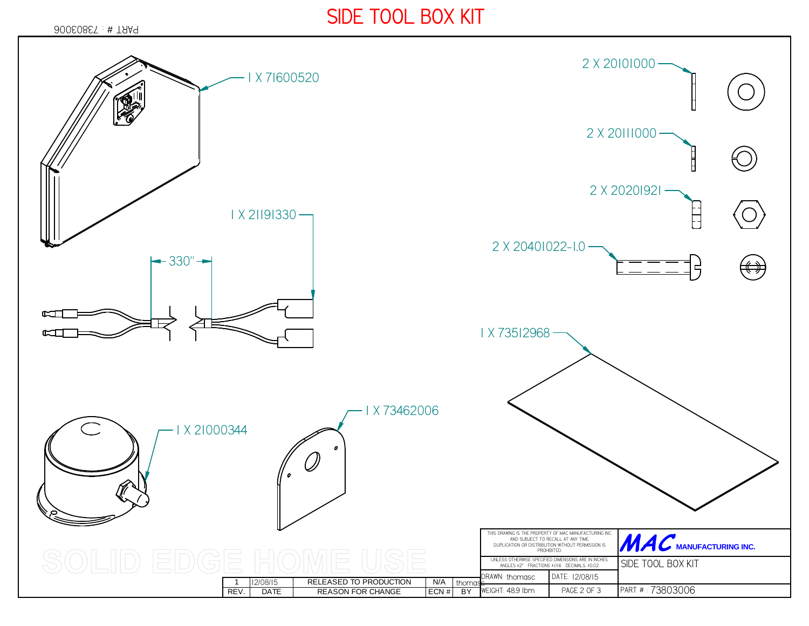## **SIDE TOOL BOX KIT**